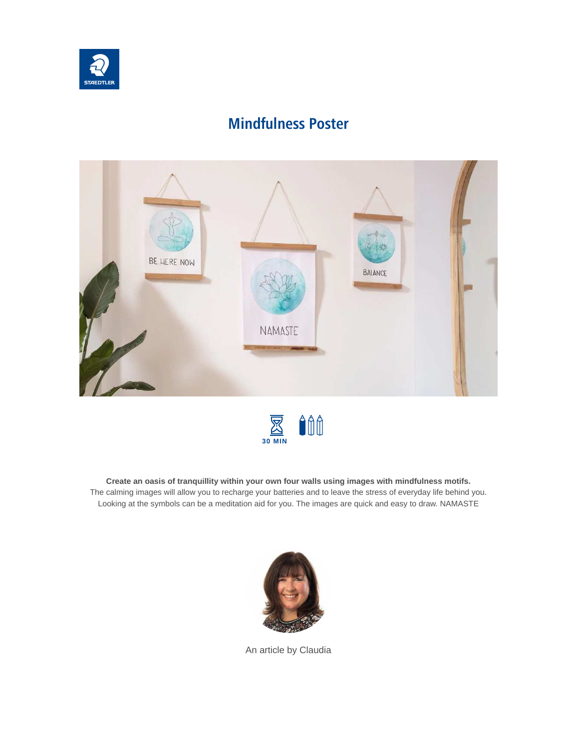

# **Mindfulness Poster**





**Create an oasis of tranquillity within your own four walls using images with mindfulness motifs.** The calming images will allow you to recharge your batteries and to leave the stress of everyday life behind you. Looking at the symbols can be a meditation aid for you. The images are quick and easy to draw. NAMASTE



An article by Claudia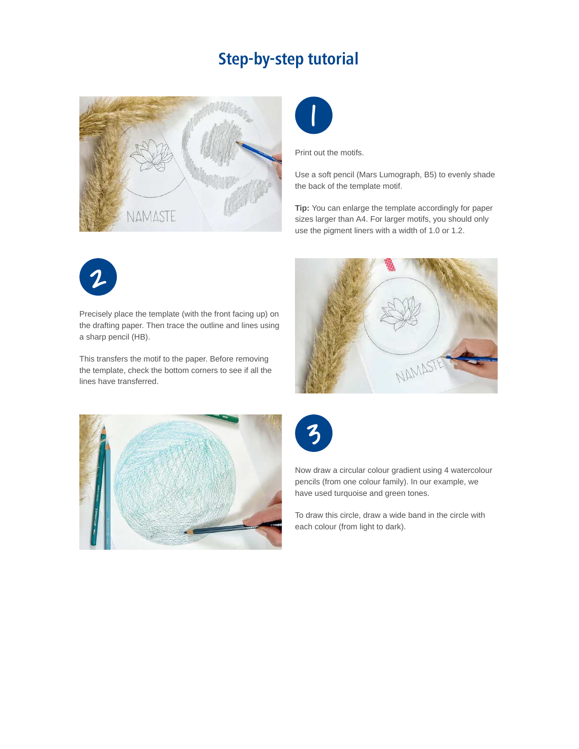## **Step-by-step tutorial**





Print out the motifs.

Use a soft pencil (Mars Lumograph, B5) to evenly shade the back of the template motif.

**Tip:** You can enlarge the template accordingly for paper sizes larger than A4. For larger motifs, you should only use the pigment liners with a width of 1.0 or 1.2.



Precisely place the template (with the front facing up) on the drafting paper. Then trace the outline and lines using a sharp pencil (HB).

This transfers the motif to the paper. Before removing the template, check the bottom corners to see if all the lines have transferred.







Now draw a circular colour gradient using 4 watercolour pencils (from one colour family). In our example, we have used turquoise and green tones.

To draw this circle, draw a wide band in the circle with each colour (from light to dark).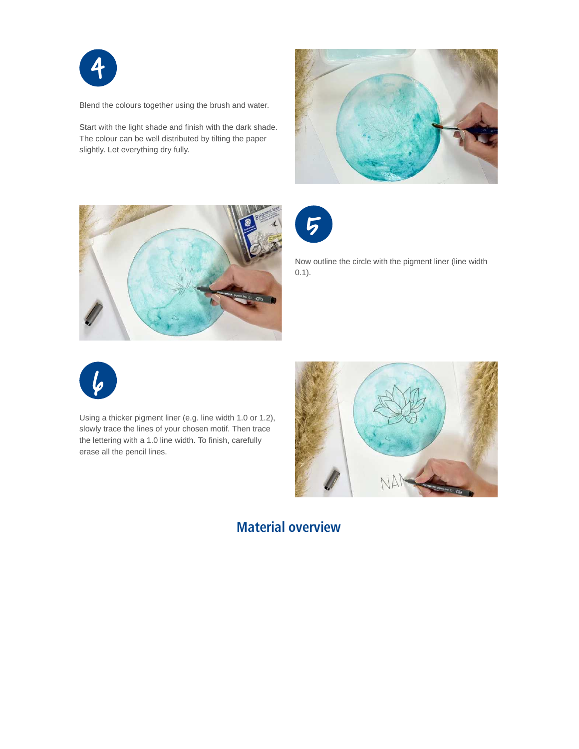

Blend the colours together using the brush and water.

Start with the light shade and finish with the dark shade. The colour can be well distributed by tilting the paper slightly. Let everything dry fully.







Now outline the circle with the pigment liner (line width 0.1).



Using a thicker pigment liner (e.g. line width 1.0 or 1.2), slowly trace the lines of your chosen motif. Then trace the lettering with a 1.0 line width. To finish, carefully erase all the pencil lines.



### **Material overview**